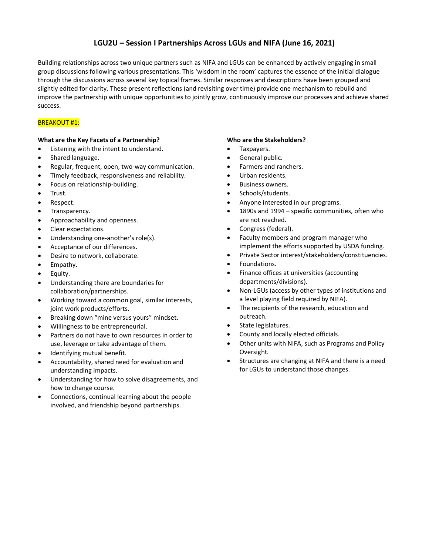# **LGU2U – Session I Partnerships Across LGUs and NIFA (June 16, 2021)**

Building relationships across two unique partners such as NIFA and LGUs can be enhanced by actively engaging in small group discussions following various presentations. This 'wisdom in the room' captures the essence of the initial dialogue through the discussions across several key topical frames. Similar responses and descriptions have been grouped and slightly edited for clarity. These present reflections (and revisiting over time) provide one mechanism to rebuild and improve the partnership with unique opportunities to jointly grow, continuously improve our processes and achieve shared success.

## **BREAKOUT #1:**

### **What are the Key Facets of a Partnership?**

- Listening with the intent to understand.
- Shared language.
- Regular, frequent, open, two-way communication.
- Timely feedback, responsiveness and reliability.
- Focus on relationship-building.
- Trust.
- Respect.
- Transparency.
- Approachability and openness.
- Clear expectations.
- Understanding one-another's role(s).
- Acceptance of our differences.
- Desire to network, collaborate.
- Empathy.
- Equity.
- Understanding there are boundaries for collaboration/partnerships.
- Working toward a common goal, similar interests, joint work products/efforts.
- Breaking down "mine versus yours" mindset.
- Willingness to be entrepreneurial.
- Partners do not have to own resources in order to use, leverage or take advantage of them.
- Identifying mutual benefit.
- Accountability, shared need for evaluation and understanding impacts.
- Understanding for how to solve disagreements, and how to change course.
- Connections, continual learning about the people involved, and friendship beyond partnerships.

### **Who are the Stakeholders?**

- Taxpayers.
- General public.
- Farmers and ranchers.
- Urban residents.
- Business owners.
- Schools/students.
- Anyone interested in our programs.
- 1890s and 1994 specific communities, often who are not reached.
- Congress (federal).
- Faculty members and program manager who implement the efforts supported by USDA funding.
- Private Sector interest/stakeholders/constituencies.
- Foundations.
- Finance offices at universities (accounting departments/divisions).
- Non-LGUs (access by other types of institutions and a level playing field required by NIFA).
- The recipients of the research, education and outreach.
- State legislatures.
- County and locally elected officials.
- Other units with NIFA, such as Programs and Policy Oversight.
- Structures are changing at NIFA and there is a need for LGUs to understand those changes.